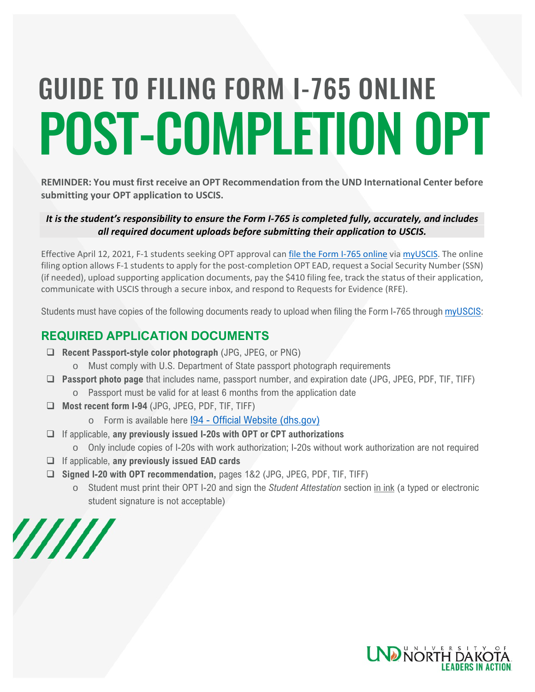# POST-COMPLETION OPT GUIDE TO FILING FORM I-765 ONLINE

**REMINDER: You must first receive an OPT Recommendation from the UND International Center before submitting your OPT application to USCIS.** 

## *It is the student's responsibility to ensure the Form I-765 is completed fully, accurately, and includes all required document uploads before submitting their application to USCIS.*

Effective April 12, 2021, F-1 students seeking OPT approval can *file the Form I-765 online* via [myUSCIS.](https://myaccount.uscis.gov/) The online filing option allows F-1 students to apply for the post-completion OPT EAD, request a Social Security Number (SSN) (if needed), upload supporting application documents, pay the \$410 filing fee, track the status of their application, communicate with USCIS through a secure inbox, and respond to Requests for Evidence (RFE).

Students must have copies of the following documents ready to upload when filing the Form I-765 through [myUSCIS:](https://myaccount.uscis.gov/)

# **REQUIRED APPLICATION DOCUMENTS**

- **Recent Passport-style color photograph** (JPG, JPEG, or PNG)
	- o Must comply with U.S. Department of State passport photograph requirements
- **Passport photo page** that includes name, passport number, and expiration date (JPG, JPEG, PDF, TIF, TIFF)
	- o Passport must be valid for at least 6 months from the application date
- **Most recent form I-94** (JPG, JPEG, PDF, TIF, TIFF)
	- o Form is available here I94 [Official Website \(dhs.gov\)](https://i94.cbp.dhs.gov/I94/#/home)
- If applicable, **any previously issued I-20s with OPT or CPT authorizations**
	- o Only include copies of I-20s with work authorization; I-20s without work authorization are not required
- If applicable, **any previously issued EAD cards**
- **Signed I-20 with OPT recommendation,** pages 1&2 (JPG, JPEG, PDF, TIF, TIFF)
	- o Student must print their OPT I-20 and sign the *Student Attestation* section in ink (a typed or electronic student signature is not acceptable)



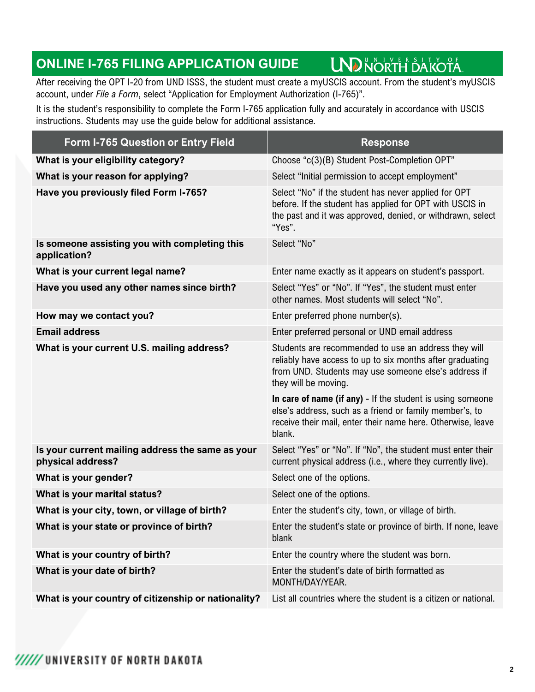#### **UND NORTH DAKOTA ONLINE I-765 FILING APPLICATION GUIDE**

After receiving the OPT I-20 from UND ISSS, the student must create a myUSCIS account. From the student's myUSCIS account, under *File a Form*, select "Application for Employment Authorization (I-765)".

It is the student's responsibility to complete the Form I-765 application fully and accurately in accordance with USCIS instructions. Students may use the guide below for additional assistance.

| <b>Form I-765 Question or Entry Field</b>                             | <b>Response</b>                                                                                                                                                                                   |
|-----------------------------------------------------------------------|---------------------------------------------------------------------------------------------------------------------------------------------------------------------------------------------------|
| What is your eligibility category?                                    | Choose "c(3)(B) Student Post-Completion OPT"                                                                                                                                                      |
| What is your reason for applying?                                     | Select "Initial permission to accept employment"                                                                                                                                                  |
| Have you previously filed Form I-765?                                 | Select "No" if the student has never applied for OPT<br>before. If the student has applied for OPT with USCIS in<br>the past and it was approved, denied, or withdrawn, select<br>"Yes".          |
| Is someone assisting you with completing this<br>application?         | Select "No"                                                                                                                                                                                       |
| What is your current legal name?                                      | Enter name exactly as it appears on student's passport.                                                                                                                                           |
| Have you used any other names since birth?                            | Select "Yes" or "No". If "Yes", the student must enter<br>other names. Most students will select "No".                                                                                            |
| How may we contact you?                                               | Enter preferred phone number(s).                                                                                                                                                                  |
| <b>Email address</b>                                                  | Enter preferred personal or UND email address                                                                                                                                                     |
| What is your current U.S. mailing address?                            | Students are recommended to use an address they will<br>reliably have access to up to six months after graduating<br>from UND. Students may use someone else's address if<br>they will be moving. |
|                                                                       | In care of name (if any) - If the student is using someone<br>else's address, such as a friend or family member's, to<br>receive their mail, enter their name here. Otherwise, leave<br>blank.    |
| Is your current mailing address the same as your<br>physical address? | Select "Yes" or "No". If "No", the student must enter their<br>current physical address (i.e., where they currently live).                                                                        |
| What is your gender?                                                  | Select one of the options.                                                                                                                                                                        |
| What is your marital status?                                          | Select one of the options.                                                                                                                                                                        |
| What is your city, town, or village of birth?                         | Enter the student's city, town, or village of birth.                                                                                                                                              |
| What is your state or province of birth?                              | Enter the student's state or province of birth. If none, leave<br>blank                                                                                                                           |
| What is your country of birth?                                        | Enter the country where the student was born.                                                                                                                                                     |
| What is your date of birth?                                           | Enter the student's date of birth formatted as<br>MONTH/DAY/YEAR.                                                                                                                                 |
| What is your country of citizenship or nationality?                   | List all countries where the student is a citizen or national.                                                                                                                                    |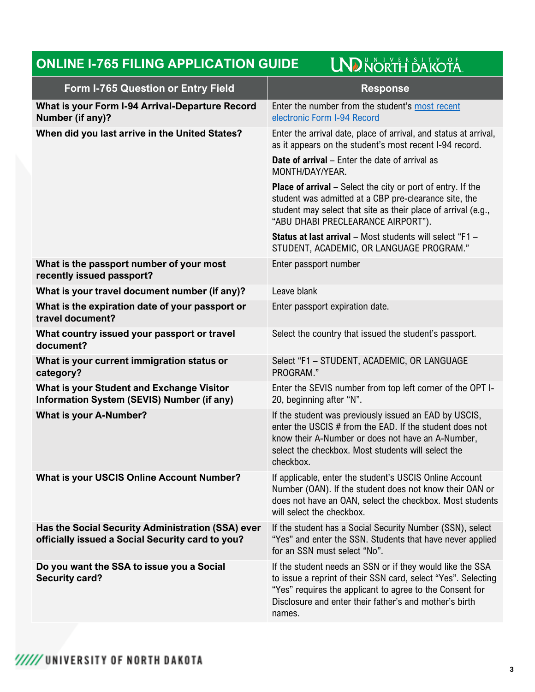### **LND NORTH DAKOTA ONLINE I-765 FILING APPLICATION GUIDE**

| <b>Form I-765 Question or Entry Field</b>                                                             | <b>Response</b>                                                                                                                                                                                                                                            |
|-------------------------------------------------------------------------------------------------------|------------------------------------------------------------------------------------------------------------------------------------------------------------------------------------------------------------------------------------------------------------|
| What is your Form I-94 Arrival-Departure Record<br>Number (if any)?                                   | Enter the number from the student's most recent<br>electronic Form I-94 Record                                                                                                                                                                             |
| When did you last arrive in the United States?                                                        | Enter the arrival date, place of arrival, and status at arrival,<br>as it appears on the student's most recent I-94 record.                                                                                                                                |
|                                                                                                       | <b>Date of arrival</b> – Enter the date of arrival as<br>MONTH/DAY/YEAR.                                                                                                                                                                                   |
|                                                                                                       | <b>Place of arrival</b> – Select the city or port of entry. If the<br>student was admitted at a CBP pre-clearance site, the<br>student may select that site as their place of arrival (e.g.,<br>"ABU DHABI PRECLEARANCE AIRPORT").                         |
|                                                                                                       | Status at last arrival - Most students will select "F1 -<br>STUDENT, ACADEMIC, OR LANGUAGE PROGRAM."                                                                                                                                                       |
| What is the passport number of your most<br>recently issued passport?                                 | Enter passport number                                                                                                                                                                                                                                      |
| What is your travel document number (if any)?                                                         | Leave blank                                                                                                                                                                                                                                                |
| What is the expiration date of your passport or<br>travel document?                                   | Enter passport expiration date.                                                                                                                                                                                                                            |
| What country issued your passport or travel<br>document?                                              | Select the country that issued the student's passport.                                                                                                                                                                                                     |
| What is your current immigration status or<br>category?                                               | Select "F1 - STUDENT, ACADEMIC, OR LANGUAGE<br>PROGRAM."                                                                                                                                                                                                   |
| <b>What is your Student and Exchange Visitor</b><br>Information System (SEVIS) Number (if any)        | Enter the SEVIS number from top left corner of the OPT I-<br>20, beginning after "N".                                                                                                                                                                      |
| <b>What is your A-Number?</b>                                                                         | If the student was previously issued an EAD by USCIS,<br>enter the USCIS # from the EAD. If the student does not<br>know their A-Number or does not have an A-Number,<br>select the checkbox. Most students will select the<br>checkbox.                   |
| <b>What is your USCIS Online Account Number?</b>                                                      | If applicable, enter the student's USCIS Online Account<br>Number (OAN). If the student does not know their OAN or<br>does not have an OAN, select the checkbox. Most students<br>will select the checkbox.                                                |
| Has the Social Security Administration (SSA) ever<br>officially issued a Social Security card to you? | If the student has a Social Security Number (SSN), select<br>"Yes" and enter the SSN. Students that have never applied<br>for an SSN must select "No".                                                                                                     |
| Do you want the SSA to issue you a Social<br><b>Security card?</b>                                    | If the student needs an SSN or if they would like the SSA<br>to issue a reprint of their SSN card, select "Yes". Selecting<br>"Yes" requires the applicant to agree to the Consent for<br>Disclosure and enter their father's and mother's birth<br>names. |